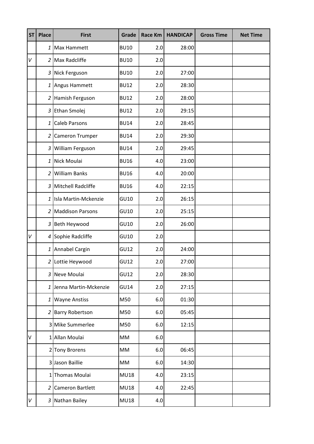| <b>ST</b> | <b>Place</b>    | <b>First</b>            | Grade       | <b>Race Km</b> | <b>HANDICAP</b> | <b>Gross Time</b> | <b>Net Time</b> |
|-----------|-----------------|-------------------------|-------------|----------------|-----------------|-------------------|-----------------|
|           |                 | 1 Max Hammett           | <b>BU10</b> | 2.0            | 28:00           |                   |                 |
| V         |                 | 2 Max Radcliffe         | <b>BU10</b> | 2.0            |                 |                   |                 |
|           |                 | 3 Nick Ferguson         | <b>BU10</b> | 2.0            | 27:00           |                   |                 |
|           |                 | 1 Angus Hammett         | <b>BU12</b> | 2.0            | 28:30           |                   |                 |
|           |                 | 2 Hamish Ferguson       | <b>BU12</b> | 2.0            | 28:00           |                   |                 |
|           | 3               | Ethan Smolej            | <b>BU12</b> | 2.0            | 29:15           |                   |                 |
|           | $1\overline{ }$ | <b>Caleb Parsons</b>    | <b>BU14</b> | 2.0            | 28:45           |                   |                 |
|           |                 | 2 Cameron Trumper       | <b>BU14</b> | 2.0            | 29:30           |                   |                 |
|           |                 | 3 William Ferguson      | <b>BU14</b> | 2.0            | 29:45           |                   |                 |
|           |                 | 1 Nick Moulai           | <b>BU16</b> | 4.0            | 23:00           |                   |                 |
|           |                 | 2 William Banks         | <b>BU16</b> | 4.0            | 20:00           |                   |                 |
|           |                 | 3 Mitchell Radcliffe    | <b>BU16</b> | 4.0            | 22:15           |                   |                 |
|           |                 | 1 Isla Martin-Mckenzie  | GU10        | 2.0            | 26:15           |                   |                 |
|           |                 | 2 Maddison Parsons      | GU10        | 2.0            | 25:15           |                   |                 |
|           |                 | 3 Beth Heywood          | GU10        | 2.0            | 26:00           |                   |                 |
| V         |                 | 4 Sophie Radcliffe      | GU10        | 2.0            |                 |                   |                 |
|           |                 | 1 Annabel Cargin        | GU12        | 2.0            | 24:00           |                   |                 |
|           |                 | 2 Lottie Heywood        | GU12        | 2.0            | 27:00           |                   |                 |
|           |                 | 3 Neve Moulai           | GU12        | 2.0            | 28:30           |                   |                 |
|           |                 | 1 Jenna Martin-Mckenzie | <b>GU14</b> | 2.0            | 27:15           |                   |                 |
|           | $1\overline{ }$ | <b>Wayne Anstiss</b>    | M50         | 6.0            | 01:30           |                   |                 |
|           |                 | 2 Barry Robertson       | M50         | 6.0            | 05:45           |                   |                 |
|           |                 | 3 Mike Summerlee        | M50         | 6.0            | 12:15           |                   |                 |
| V         |                 | 1 Allan Moulai          | MM          | 6.0            |                 |                   |                 |
|           |                 | 2 Tony Brorens          | MM          | 6.0            | 06:45           |                   |                 |
|           |                 | 3 Jason Baillie         | MM          | 6.0            | 14:30           |                   |                 |
|           | $1\vert$        | Thomas Moulai           | <b>MU18</b> | 4.0            | 23:15           |                   |                 |
|           |                 | 2 Cameron Bartlett      | <b>MU18</b> | 4.0            | 22:45           |                   |                 |
| V         |                 | 3 Nathan Bailey         | <b>MU18</b> | 4.0            |                 |                   |                 |